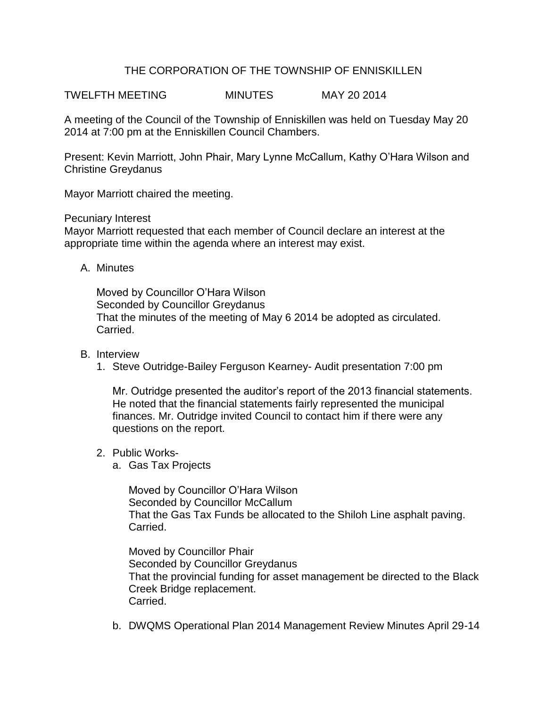## THE CORPORATION OF THE TOWNSHIP OF ENNISKILLEN

TWELFTH MEETING MINUTES MAY 20 2014

A meeting of the Council of the Township of Enniskillen was held on Tuesday May 20 2014 at 7:00 pm at the Enniskillen Council Chambers.

Present: Kevin Marriott, John Phair, Mary Lynne McCallum, Kathy O'Hara Wilson and Christine Greydanus

Mayor Marriott chaired the meeting.

Pecuniary Interest

Mayor Marriott requested that each member of Council declare an interest at the appropriate time within the agenda where an interest may exist.

A. Minutes

Moved by Councillor O'Hara Wilson Seconded by Councillor Greydanus That the minutes of the meeting of May 6 2014 be adopted as circulated. Carried.

- B. Interview
	- 1. Steve Outridge-Bailey Ferguson Kearney- Audit presentation 7:00 pm

Mr. Outridge presented the auditor's report of the 2013 financial statements. He noted that the financial statements fairly represented the municipal finances. Mr. Outridge invited Council to contact him if there were any questions on the report.

- 2. Public Works
	- a. Gas Tax Projects

Moved by Councillor O'Hara Wilson Seconded by Councillor McCallum That the Gas Tax Funds be allocated to the Shiloh Line asphalt paving. Carried.

Moved by Councillor Phair Seconded by Councillor Greydanus That the provincial funding for asset management be directed to the Black Creek Bridge replacement. Carried.

b. DWQMS Operational Plan 2014 Management Review Minutes April 29-14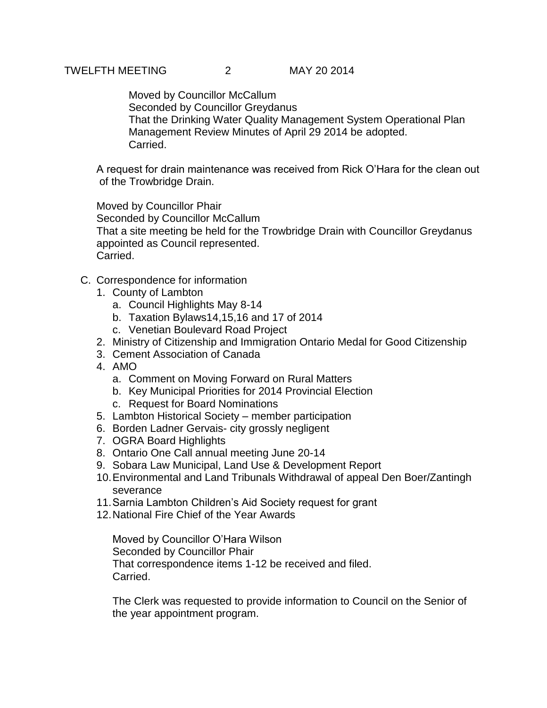Moved by Councillor McCallum Seconded by Councillor Greydanus That the Drinking Water Quality Management System Operational Plan Management Review Minutes of April 29 2014 be adopted. Carried.

A request for drain maintenance was received from Rick O'Hara for the clean out of the Trowbridge Drain.

Moved by Councillor Phair Seconded by Councillor McCallum That a site meeting be held for the Trowbridge Drain with Councillor Greydanus appointed as Council represented. Carried.

- C. Correspondence for information
	- 1. County of Lambton
		- a. Council Highlights May 8-14
		- b. Taxation Bylaws14,15,16 and 17 of 2014
		- c. Venetian Boulevard Road Project
	- 2. Ministry of Citizenship and Immigration Ontario Medal for Good Citizenship
	- 3. Cement Association of Canada
	- 4. AMO
		- a. Comment on Moving Forward on Rural Matters
		- b. Key Municipal Priorities for 2014 Provincial Election
		- c. Request for Board Nominations
	- 5. Lambton Historical Society member participation
	- 6. Borden Ladner Gervais- city grossly negligent
	- 7. OGRA Board Highlights
	- 8. Ontario One Call annual meeting June 20-14
	- 9. Sobara Law Municipal, Land Use & Development Report
	- 10.Environmental and Land Tribunals Withdrawal of appeal Den Boer/Zantingh severance
	- 11.Sarnia Lambton Children's Aid Society request for grant
	- 12.National Fire Chief of the Year Awards

Moved by Councillor O'Hara Wilson Seconded by Councillor Phair That correspondence items 1-12 be received and filed. Carried.

The Clerk was requested to provide information to Council on the Senior of the year appointment program.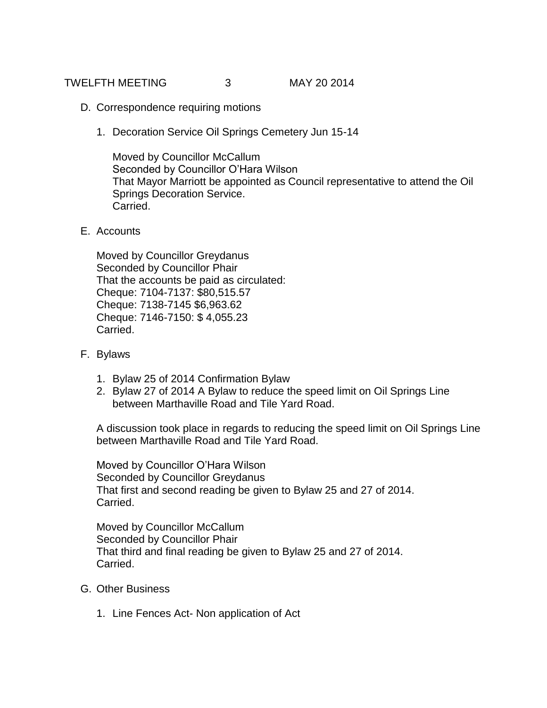TWELFTH MEETING 3 MAY 20 2014

- D. Correspondence requiring motions
	- 1. Decoration Service Oil Springs Cemetery Jun 15-14

Moved by Councillor McCallum Seconded by Councillor O'Hara Wilson That Mayor Marriott be appointed as Council representative to attend the Oil Springs Decoration Service. Carried.

E. Accounts

Moved by Councillor Greydanus Seconded by Councillor Phair That the accounts be paid as circulated: Cheque: 7104-7137: \$80,515.57 Cheque: 7138-7145 \$6,963.62 Cheque: 7146-7150: \$ 4,055.23 Carried.

- F. Bylaws
	- 1. Bylaw 25 of 2014 Confirmation Bylaw
	- 2. Bylaw 27 of 2014 A Bylaw to reduce the speed limit on Oil Springs Line between Marthaville Road and Tile Yard Road.

A discussion took place in regards to reducing the speed limit on Oil Springs Line between Marthaville Road and Tile Yard Road.

Moved by Councillor O'Hara Wilson Seconded by Councillor Greydanus That first and second reading be given to Bylaw 25 and 27 of 2014. Carried.

Moved by Councillor McCallum Seconded by Councillor Phair That third and final reading be given to Bylaw 25 and 27 of 2014. Carried.

- G. Other Business
	- 1. Line Fences Act- Non application of Act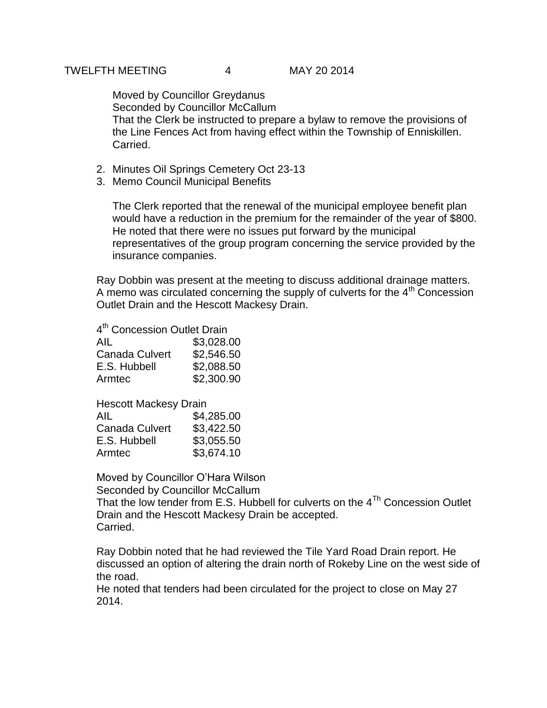Moved by Councillor Greydanus Seconded by Councillor McCallum That the Clerk be instructed to prepare a bylaw to remove the provisions of the Line Fences Act from having effect within the Township of Enniskillen. Carried.

- 2. Minutes Oil Springs Cemetery Oct 23-13
- 3. Memo Council Municipal Benefits

The Clerk reported that the renewal of the municipal employee benefit plan would have a reduction in the premium for the remainder of the year of \$800. He noted that there were no issues put forward by the municipal representatives of the group program concerning the service provided by the insurance companies.

Ray Dobbin was present at the meeting to discuss additional drainage matters. A memo was circulated concerning the supply of culverts for the  $4<sup>th</sup>$  Concession Outlet Drain and the Hescott Mackesy Drain.

4<sup>th</sup> Concession Outlet Drain

| AIL            | \$3,028.00 |
|----------------|------------|
| Canada Culvert | \$2,546.50 |
| E.S. Hubbell   | \$2,088.50 |
| Armtec         | \$2,300.90 |

| <b>Hescott Mackesy Drain</b> |            |
|------------------------------|------------|
| AIL                          | \$4,285.00 |
| <b>Canada Culvert</b>        | \$3,422.50 |
| E.S. Hubbell                 | \$3,055.50 |
| Armtec                       | \$3,674.10 |

Moved by Councillor O'Hara Wilson

Seconded by Councillor McCallum

That the low tender from E.S. Hubbell for culverts on the  $4^{Th}$  Concession Outlet Drain and the Hescott Mackesy Drain be accepted. Carried.

Ray Dobbin noted that he had reviewed the Tile Yard Road Drain report. He discussed an option of altering the drain north of Rokeby Line on the west side of the road.

He noted that tenders had been circulated for the project to close on May 27 2014.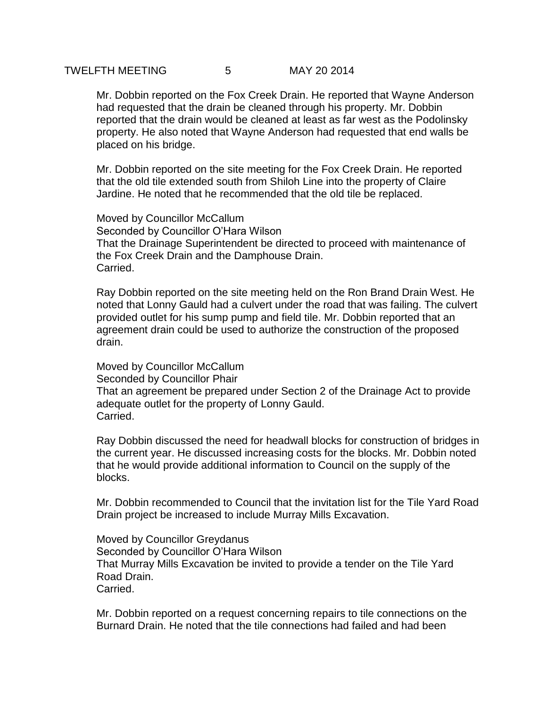Mr. Dobbin reported on the Fox Creek Drain. He reported that Wayne Anderson had requested that the drain be cleaned through his property. Mr. Dobbin reported that the drain would be cleaned at least as far west as the Podolinsky property. He also noted that Wayne Anderson had requested that end walls be placed on his bridge.

Mr. Dobbin reported on the site meeting for the Fox Creek Drain. He reported that the old tile extended south from Shiloh Line into the property of Claire Jardine. He noted that he recommended that the old tile be replaced.

Moved by Councillor McCallum Seconded by Councillor O'Hara Wilson That the Drainage Superintendent be directed to proceed with maintenance of the Fox Creek Drain and the Damphouse Drain. Carried.

Ray Dobbin reported on the site meeting held on the Ron Brand Drain West. He noted that Lonny Gauld had a culvert under the road that was failing. The culvert provided outlet for his sump pump and field tile. Mr. Dobbin reported that an agreement drain could be used to authorize the construction of the proposed drain.

Moved by Councillor McCallum Seconded by Councillor Phair That an agreement be prepared under Section 2 of the Drainage Act to provide adequate outlet for the property of Lonny Gauld. Carried.

Ray Dobbin discussed the need for headwall blocks for construction of bridges in the current year. He discussed increasing costs for the blocks. Mr. Dobbin noted that he would provide additional information to Council on the supply of the blocks.

Mr. Dobbin recommended to Council that the invitation list for the Tile Yard Road Drain project be increased to include Murray Mills Excavation.

Moved by Councillor Greydanus Seconded by Councillor O'Hara Wilson That Murray Mills Excavation be invited to provide a tender on the Tile Yard Road Drain. Carried.

Mr. Dobbin reported on a request concerning repairs to tile connections on the Burnard Drain. He noted that the tile connections had failed and had been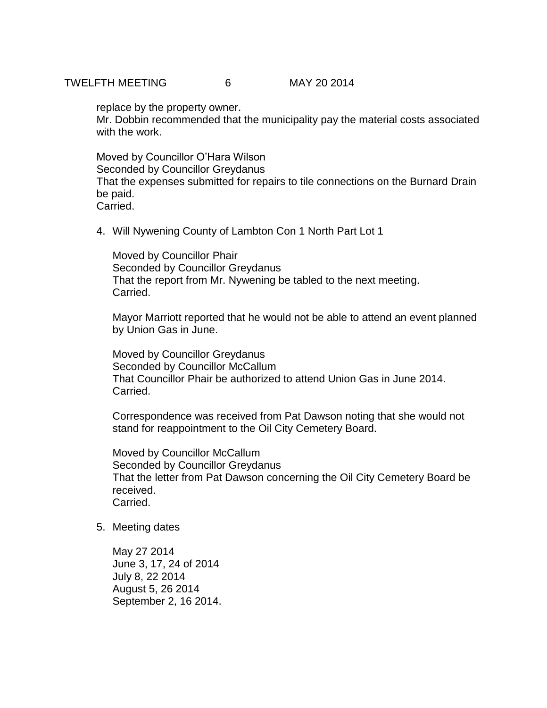## TWELFTH MEETING 6 MAY 20 2014

replace by the property owner.

Mr. Dobbin recommended that the municipality pay the material costs associated with the work.

Moved by Councillor O'Hara Wilson Seconded by Councillor Greydanus That the expenses submitted for repairs to tile connections on the Burnard Drain be paid. Carried.

4. Will Nywening County of Lambton Con 1 North Part Lot 1

Moved by Councillor Phair Seconded by Councillor Greydanus That the report from Mr. Nywening be tabled to the next meeting. Carried.

Mayor Marriott reported that he would not be able to attend an event planned by Union Gas in June.

Moved by Councillor Greydanus Seconded by Councillor McCallum That Councillor Phair be authorized to attend Union Gas in June 2014. Carried.

Correspondence was received from Pat Dawson noting that she would not stand for reappointment to the Oil City Cemetery Board.

Moved by Councillor McCallum Seconded by Councillor Greydanus That the letter from Pat Dawson concerning the Oil City Cemetery Board be received. Carried.

5. Meeting dates

May 27 2014 June 3, 17, 24 of 2014 July 8, 22 2014 August 5, 26 2014 September 2, 16 2014.